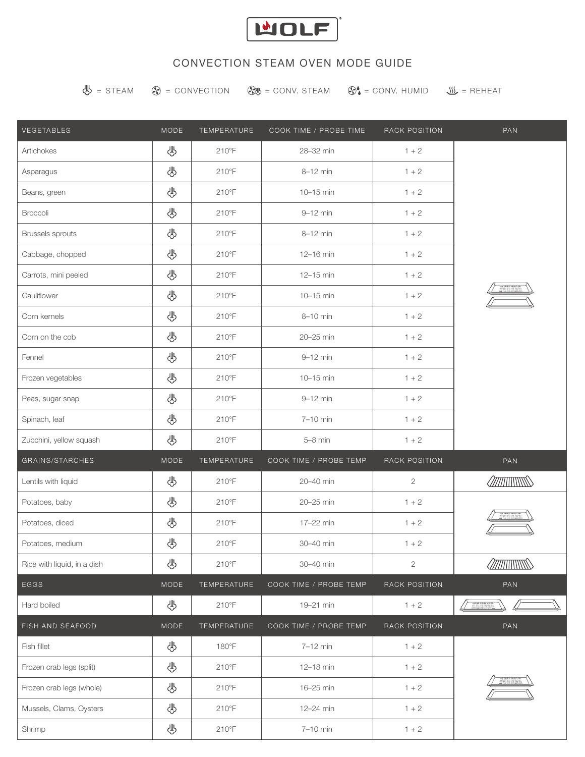

# CONVECTION STEAM OVEN MODE GUIDE

 $\overline{\mathcal{L}}$  = STEAM  $\overline{\mathcal{L}}$  = CONVECTION  $\overline{\mathcal{L}}$  = CONV. STEAM  $\overline{\mathcal{L}}$  = CONV. HUMID  $\overline{\mathcal{L}}$  = REHEAT

| VEGETABLES                  | MODE        | TEMPERATURE    | COOK TIME / PROBE TIME | RACK POSITION | PAN                                                                                                                                                                                                                            |
|-----------------------------|-------------|----------------|------------------------|---------------|--------------------------------------------------------------------------------------------------------------------------------------------------------------------------------------------------------------------------------|
| Artichokes                  | 小           | $210^{\circ}F$ | 28-32 min              | $1 + 2$       | WWW.WWW.                                                                                                                                                                                                                       |
| Asparagus                   | 小           | $210^{\circ}F$ | 8-12 min               | $1 + 2$       |                                                                                                                                                                                                                                |
| Beans, green                | 小           | $210^{\circ}F$ | 10-15 min              | $1 + 2$       |                                                                                                                                                                                                                                |
| Broccoli                    | 小           | $210^{\circ}F$ | 9-12 min               | $1 + 2$       |                                                                                                                                                                                                                                |
| <b>Brussels sprouts</b>     | 小           | 210°F          | $8-12$ min             | $1 + 2$       |                                                                                                                                                                                                                                |
| Cabbage, chopped            | 小           | $210^{\circ}F$ | 12-16 min              | $1 + 2$       |                                                                                                                                                                                                                                |
| Carrots, mini peeled        | ₩           | 210°F          | 12-15 min              | $1 + 2$       |                                                                                                                                                                                                                                |
| Cauliflower                 | 小           | $210^{\circ}F$ | 10-15 min              | $1 + 2$       |                                                                                                                                                                                                                                |
| Corn kernels                | 小           | $210^{\circ}F$ | 8-10 min               | $1 + 2$       |                                                                                                                                                                                                                                |
| Corn on the cob             | 小           | 210°F          | 20-25 min              | $1 + 2$       |                                                                                                                                                                                                                                |
| Fennel                      | 小           | $210^{\circ}F$ | $9-12$ min             | $1 + 2$       |                                                                                                                                                                                                                                |
| Frozen vegetables           | 小           | 210°F          | 10-15 min              | $1 + 2$       |                                                                                                                                                                                                                                |
| Peas, sugar snap            | 小           | $210^{\circ}F$ | 9-12 min               | $1 + 2$       |                                                                                                                                                                                                                                |
| Spinach, leaf               | ₩           | $210^{\circ}F$ | $7-10$ min             | $1 + 2$       |                                                                                                                                                                                                                                |
| Zucchini, yellow squash     | 小           | $210^{\circ}F$ | $5-8$ min              | $1 + 2$       |                                                                                                                                                                                                                                |
| GRAINS/STARCHES             | <b>MODE</b> | TEMPERATURE    | COOK TIME / PROBE TEMP | RACK POSITION | PAN                                                                                                                                                                                                                            |
| Lentils with liquid         | 业           | 210°F          | 20-40 min              | $\mathbf{2}$  |                                                                                                                                                                                                                                |
| Potatoes, baby              | 小           | $210^{\circ}F$ | 20-25 min              | $1 + 2$       |                                                                                                                                                                                                                                |
| Potatoes, diced             | ₩           | $210^{\circ}F$ | 17-22 min              | $1 + 2$       |                                                                                                                                                                                                                                |
| Potatoes, medium            | 小           | $210^{\circ}F$ | 30-40 min              | $1 + 2$       |                                                                                                                                                                                                                                |
| Rice with liquid, in a dish | ₩           | $210^{\circ}F$ | 30-40 min              | $\mathbf{2}$  |                                                                                                                                                                                                                                |
| EGGS                        | MODE        | TEMPERATURE    | COOK TIME / PROBE TEMP | RACK POSITION | PAN                                                                                                                                                                                                                            |
| Hard boiled                 | 小           | $210^{\circ}F$ | 19-21 min              | $1 + 2$       |                                                                                                                                                                                                                                |
| FISH AND SEAFOOD            | MODE        | TEMPERATURE    | COOK TIME / PROBE TEMP | RACK POSITION | PAN                                                                                                                                                                                                                            |
| Fish fillet                 | 必           | 180°F          | 7-12 min               | $1 + 2$       | $1.47$ $1.47$ $1.47$ $1.47$ $1.47$ $1.47$ $1.47$ $1.47$ $1.47$ $1.47$ $1.47$ $1.47$ $1.47$ $1.47$ $1.47$ $1.47$ $1.47$ $1.47$ $1.47$ $1.47$ $1.47$ $1.47$ $1.47$ $1.47$ $1.47$ $1.47$ $1.47$ $1.47$ $1.47$ $1.47$ $1.47$ $1.4$ |
| Frozen crab legs (split)    | 小           | $210^{\circ}F$ | 12-18 min              | $1 + 2$       |                                                                                                                                                                                                                                |
| Frozen crab legs (whole)    | ₩           | $210^{\circ}F$ | 16-25 min              | $1 + 2$       |                                                                                                                                                                                                                                |
| Mussels, Clams, Oysters     | 小           | $210^{\circ}F$ | 12-24 min              | $1 + 2$       |                                                                                                                                                                                                                                |
| Shrimp                      | ₩           | $210^{\circ}F$ | 7-10 min               | $1 + 2$       |                                                                                                                                                                                                                                |